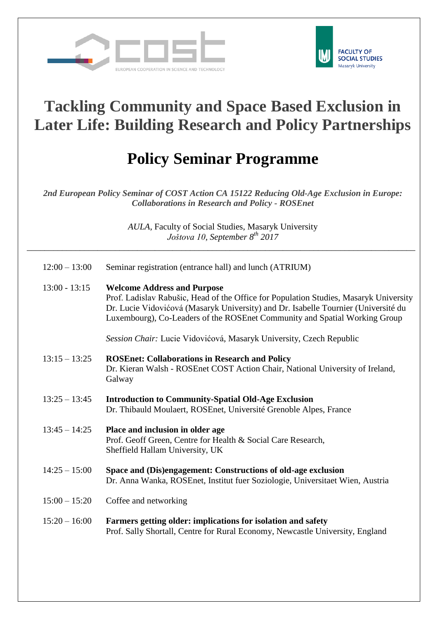



## **Tackling Community and Space Based Exclusion in Later Life: Building Research and Policy Partnerships**

## **Policy Seminar Programme**

*2nd European Policy Seminar of COST Action CA 15122 Reducing Old-Age Exclusion in Europe: Collaborations in Research and Policy - ROSEnet*

> *AULA*, Faculty of Social Studies, Masaryk University *Joštova 10, September 8 th 2017*

\_\_\_\_\_\_\_\_\_\_\_\_\_\_\_\_\_\_\_\_\_\_\_\_\_\_\_\_\_\_\_\_\_\_\_\_\_\_\_\_\_\_\_\_\_\_\_\_\_\_\_\_\_\_\_\_\_\_\_\_\_\_\_\_\_\_\_\_\_\_\_\_\_\_\_\_\_\_\_\_\_\_\_\_\_\_\_\_

| $12:00 - 13:00$ | Seminar registration (entrance hall) and lunch (ATRIUM) |  |  |
|-----------------|---------------------------------------------------------|--|--|
|                 |                                                         |  |  |

13:00 - 13:15 **Welcome Address and Purpose** Prof. Ladislav Rabušic, Head of the Office for Population Studies, Masaryk University Dr. Lucie Vidovićová (Masaryk University) and Dr. Isabelle Tournier (Université du Luxembourg), Co-Leaders of the ROSEnet Community and Spatial Working Group

*Session Chair:* Lucie Vidovićová, Masaryk University, Czech Republic

- 13:15 13:25 **ROSEnet: Collaborations in Research and Policy** Dr. Kieran Walsh - ROSEnet COST Action Chair, National University of Ireland, Galway
- 13:25 13:45 **Introduction to Community-Spatial Old-Age Exclusion** Dr. Thibauld Moulaert, ROSEnet, Université Grenoble Alpes, France
- 13:45 14:25 **Place and inclusion in older age** Prof. Geoff Green, Centre for Health & Social Care Research, Sheffield Hallam University*,* UK
- 14:25 15:00 **Space and (Dis)engagement: Constructions of old-age exclusion** Dr. Anna Wanka, ROSEnet, Institut fuer Soziologie, Universitaet Wien, Austria
- 15:00 15:20 Coffee and networking
- 15:20 16:00 **Farmers getting older: implications for isolation and safety** Prof. Sally Shortall, Centre for Rural Economy, Newcastle University, England